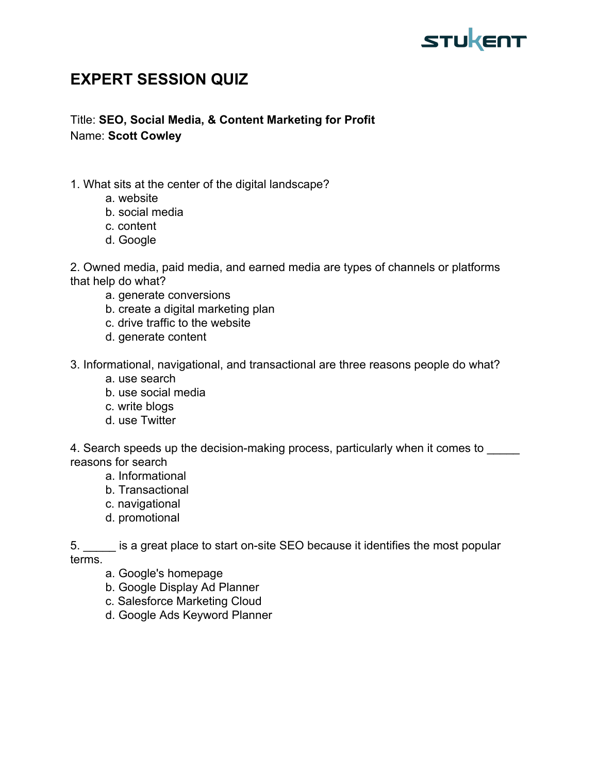

## **EXPERT SESSION QUIZ**

Title: **SEO, Social Media, & Content Marketing for Profit** Name: **Scott Cowley**

- 1. What sits at the center of the digital landscape?
	- a. website
	- b. social media
	- c. content
	- d. Google

2. Owned media, paid media, and earned media are types of channels or platforms that help do what?

- a. generate conversions
- b. create a digital marketing plan
- c. drive traffic to the website
- d. generate content

3. Informational, navigational, and transactional are three reasons people do what?

- a. use search
- b. use social media
- c. write blogs
- d. use Twitter

4. Search speeds up the decision-making process, particularly when it comes to reasons for search

- a. Informational
- b. Transactional
- c. navigational
- d. promotional

5. \_\_\_\_\_ is a great place to start on-site SEO because it identifies the most popular terms.

a. Google's homepage

- b. Google Display Ad Planner
- c. Salesforce Marketing Cloud
- d. Google Ads Keyword Planner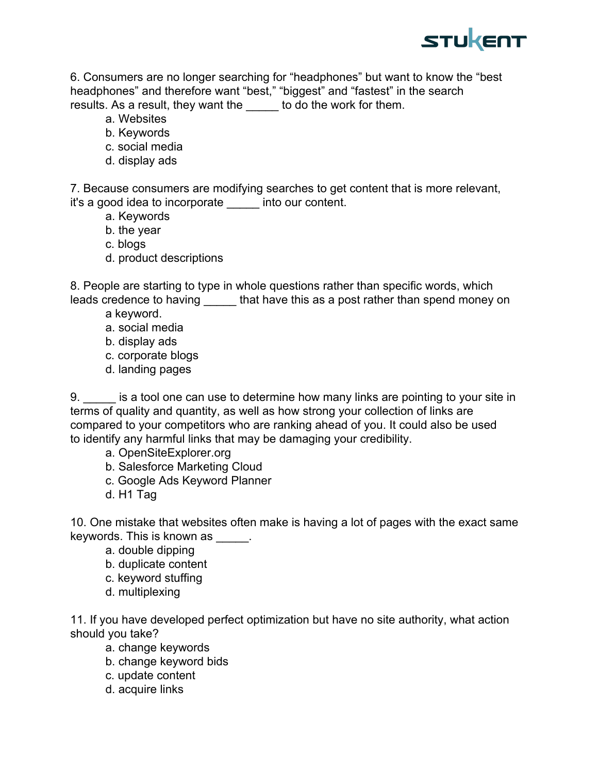

6. Consumers are no longer searching for "headphones" but want to know the "best headphones" and therefore want "best," "biggest" and "fastest" in the search results. As a result, they want the to do the work for them.

- a. Websites
- b. Keywords
- c. social media
- d. display ads

7. Because consumers are modifying searches to get content that is more relevant, it's a good idea to incorporate \_\_\_\_\_ into our content.

- a. Keywords
- b. the year
- c. blogs
- d. product descriptions

8. People are starting to type in whole questions rather than specific words, which leads credence to having that have this as a post rather than spend money on

- a keyword.
- a. social media
- b. display ads
- c. corporate blogs
- d. landing pages

9. \_\_\_\_\_ is a tool one can use to determine how many links are pointing to your site in terms of quality and quantity, as well as how strong your collection of links are compared to your competitors who are ranking ahead of you. It could also be used to identify any harmful links that may be damaging your credibility.

- a. OpenSiteExplorer.org
- b. Salesforce Marketing Cloud
- c. Google Ads Keyword Planner
- d. H1 Tag

10. One mistake that websites often make is having a lot of pages with the exact same keywords. This is known as \_\_\_\_\_.

- a. double dipping
- b. duplicate content
- c. keyword stuffing
- d. multiplexing

11. If you have developed perfect optimization but have no site authority, what action should you take?

- a. change keywords
- b. change keyword bids
- c. update content
- d. acquire links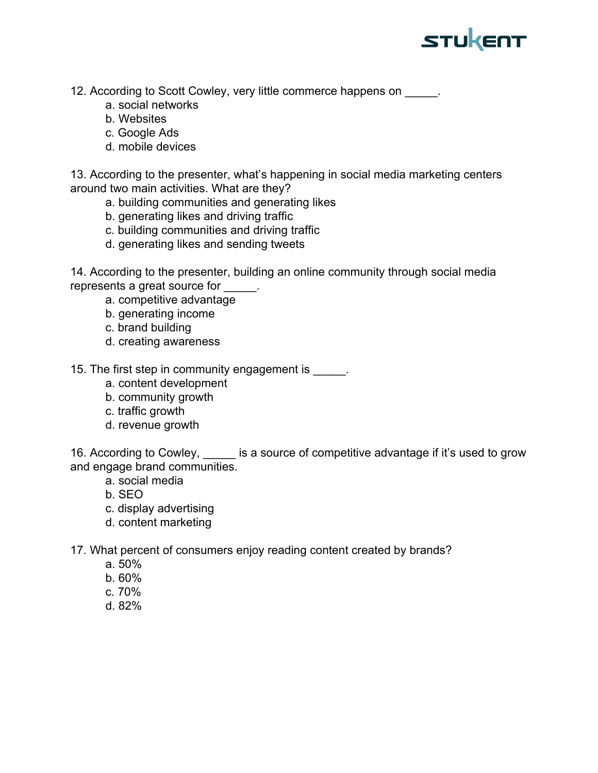

12. According to Scott Cowley, very little commerce happens on  $\qquad \qquad$ .

- a. social networks
- b. Websites
- c. Google Ads
- d. mobile devices

13. According to the presenter, what's happening in social media marketing centers around two main activities. What are they?

- a. building communities and generating likes
- b. generating likes and driving traffic
- c. building communities and driving traffic
- d. generating likes and sending tweets

14. According to the presenter, building an online community through social media represents a great source for

- a. competitive advantage
- b. generating income
- c. brand building
- d. creating awareness
- 15. The first step in community engagement is  $\qquad \qquad$ .
	- a. content development
	- b. community growth
	- c. traffic growth
	- d. revenue growth

16. According to Cowley, is a source of competitive advantage if it's used to grow and engage brand communities.

- a. social media
- b. SEO
- c. display advertising
- d. content marketing

17. What percent of consumers enjoy reading content created by brands?

- a. 50%
- b. 60%
- c. 70%
- d. 82%